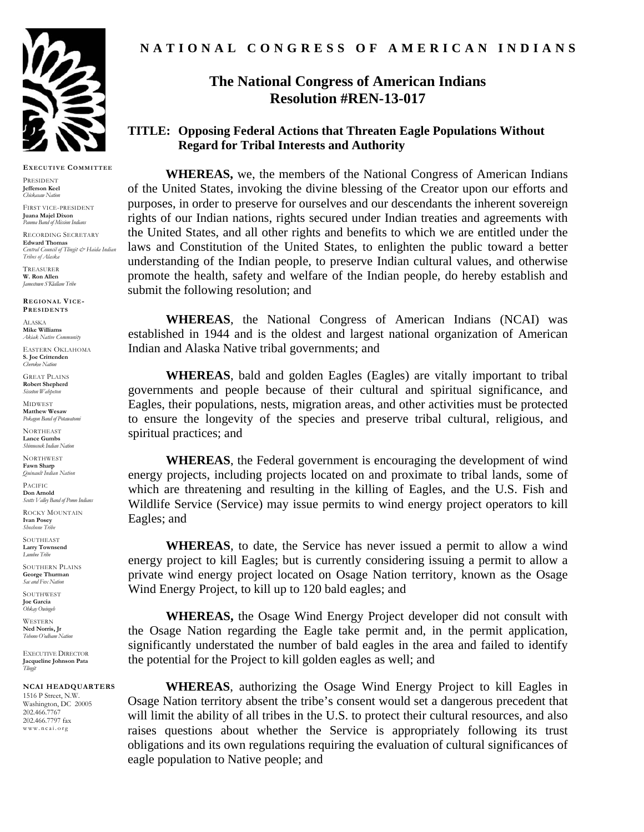

**EXECUTIVE COMMITTEE**

PRESIDENT **Jefferson Keel**  *Chickasaw Nation* 

FIRST VICE-PRESIDENT **Juana Majel Dixon**  *Pauma Band of Mission Indians* 

RECORDING SECRETARY **Edward Thomas** *Central Council of Tlingit & Haida Indian Tribes of Alaska*

TREASURER **W. Ron Allen**  *Jamestown S'Klallam Tribe* 

**REGIONAL VICE-PRESIDENTS**

ALASKA **Mike Williams**  *Akiak Native Community* 

EASTERN OKLAHOMA **S. Joe Crittenden**  *Cherokee Nation* 

GREAT PLAINS **Robert Shepherd** *Sisseton Wahpeton* 

MIDWEST **Matthew Wesaw**  Pokagon Band of Potan

**NORTHEAST Lance Gumbs Shinnecock** Indian Natio

**NORTHWEST Fawn Sharp**  *Quinault Indian Nation* 

PACIFIC **Don Arnold**  *Scotts Valley Band of Pomo Indians* 

ROCKY MOUNTAIN **Ivan Posey**  *Shoshone Tribe* 

**SOUTHEAST Larry Townsend**  *Lumbee Tribe* 

SOUTHERN PLAINS **George Thurman**  *Sac and Fox Nation* 

SOUTHWEST **Joe Garcia**  *Ohkay Owingeh* 

WESTERN **Ned Norris, Jr**  *Tohono O'odham Nation* 

EXECUTIVE DIRECTOR **Jacqueline Johnson Pata**  *Tlingit* 

## **NCAI HEADQUARTERS**

1516 P Street, N.W. Washington, DC 20005 202.466.7767 202.466.7797 fax www.ncai.org

## **The National Congress of American Indians Resolution #REN-13-017**

## **TITLE: Opposing Federal Actions that Threaten Eagle Populations Without Regard for Tribal Interests and Authority**

**WHEREAS,** we, the members of the National Congress of American Indians of the United States, invoking the divine blessing of the Creator upon our efforts and purposes, in order to preserve for ourselves and our descendants the inherent sovereign rights of our Indian nations, rights secured under Indian treaties and agreements with the United States, and all other rights and benefits to which we are entitled under the laws and Constitution of the United States, to enlighten the public toward a better understanding of the Indian people, to preserve Indian cultural values, and otherwise promote the health, safety and welfare of the Indian people, do hereby establish and submit the following resolution; and

**WHEREAS**, the National Congress of American Indians (NCAI) was established in 1944 and is the oldest and largest national organization of American Indian and Alaska Native tribal governments; and

**WHEREAS**, bald and golden Eagles (Eagles) are vitally important to tribal governments and people because of their cultural and spiritual significance, and Eagles, their populations, nests, migration areas, and other activities must be protected to ensure the longevity of the species and preserve tribal cultural, religious, and spiritual practices; and

**WHEREAS**, the Federal government is encouraging the development of wind energy projects, including projects located on and proximate to tribal lands, some of which are threatening and resulting in the killing of Eagles, and the U.S. Fish and Wildlife Service (Service) may issue permits to wind energy project operators to kill Eagles; and

**WHEREAS**, to date, the Service has never issued a permit to allow a wind energy project to kill Eagles; but is currently considering issuing a permit to allow a private wind energy project located on Osage Nation territory, known as the Osage Wind Energy Project, to kill up to 120 bald eagles; and

**WHEREAS,** the Osage Wind Energy Project developer did not consult with the Osage Nation regarding the Eagle take permit and, in the permit application, significantly understated the number of bald eagles in the area and failed to identify the potential for the Project to kill golden eagles as well; and

**WHEREAS**, authorizing the Osage Wind Energy Project to kill Eagles in Osage Nation territory absent the tribe's consent would set a dangerous precedent that will limit the ability of all tribes in the U.S. to protect their cultural resources, and also raises questions about whether the Service is appropriately following its trust obligations and its own regulations requiring the evaluation of cultural significances of eagle population to Native people; and